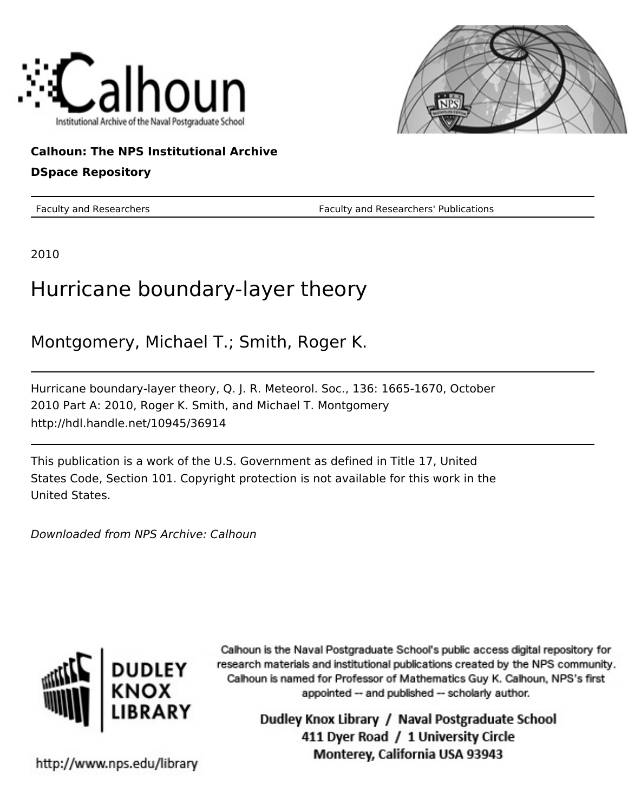



### **Calhoun: The NPS Institutional Archive**

### **DSpace Repository**

Faculty and Researchers Faculty and Researchers' Publications

2010

# Hurricane boundary-layer theory

## Montgomery, Michael T.; Smith, Roger K.

Hurricane boundary-layer theory, Q. J. R. Meteorol. Soc., 136: 1665-1670, October 2010 Part A: 2010, Roger K. Smith, and Michael T. Montgomery http://hdl.handle.net/10945/36914

This publication is a work of the U.S. Government as defined in Title 17, United States Code, Section 101. Copyright protection is not available for this work in the United States.

Downloaded from NPS Archive: Calhoun



Calhoun is the Naval Postgraduate School's public access digital repository for research materials and institutional publications created by the NPS community. Calhoun is named for Professor of Mathematics Guy K. Calhoun, NPS's first appointed -- and published -- scholarly author.

> Dudley Knox Library / Naval Postgraduate School 411 Dyer Road / 1 University Circle Monterey, California USA 93943

http://www.nps.edu/library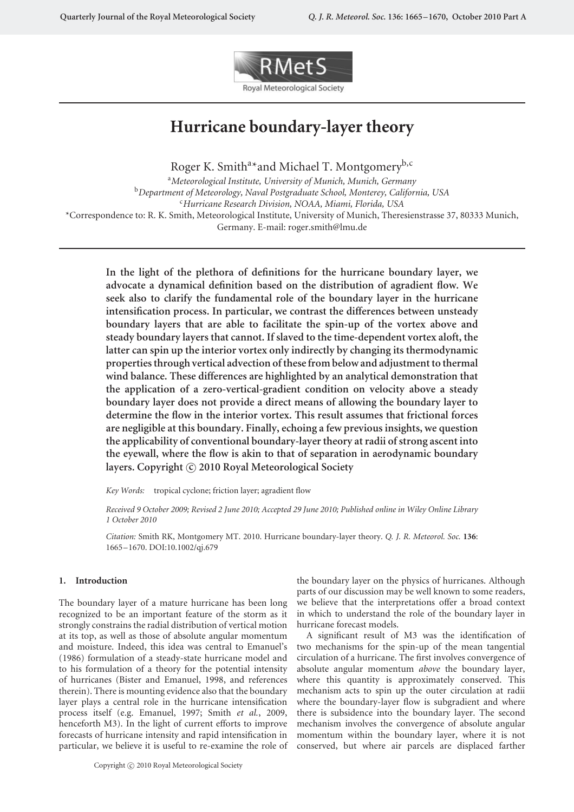

### **Hurricane boundary-layer theory**

Roger K. Smith<sup>a\*</sup> and Michael T. Montgomery<sup>b, c</sup>

<sup>a</sup>*Meteorological Institute, University of Munich, Munich, Germany* <sup>b</sup>*Department of Meteorology, Naval Postgraduate School, Monterey, California, USA* c *Hurricane Research Division, NOAA, Miami, Florida, USA* \*Correspondence to: R. K. Smith, Meteorological Institute, University of Munich, Theresienstrasse 37, 80333 Munich, Germany. E-mail: roger.smith@lmu.de

**In the light of the plethora of definitions for the hurricane boundary layer, we advocate a dynamical definition based on the distribution of agradient flow. We seek also to clarify the fundamental role of the boundary layer in the hurricane intensification process. In particular, we contrast the differences between unsteady boundary layers that are able to facilitate the spin-up of the vortex above and steady boundary layers that cannot. If slaved to the time-dependent vortex aloft, the latter can spin up the interior vortex only indirectly by changing its thermodynamic properties through vertical advection of these from below and adjustment to thermal wind balance. These differences are highlighted by an analytical demonstration that the application of a zero-vertical-gradient condition on velocity above a steady boundary layer does not provide a direct means of allowing the boundary layer to determine the flow in the interior vortex. This result assumes that frictional forces are negligible at this boundary. Finally, echoing a few previous insights, we question the applicability of conventional boundary-layer theory at radii of strong ascent into the eyewall, where the flow is akin to that of separation in aerodynamic boundary layers. Copyright c 2010 Royal Meteorological Society**

*Key Words:* tropical cyclone; friction layer; agradient flow

*Received 9 October 2009; Revised 2 June 2010; Accepted 29 June 2010; Published online in Wiley Online Library 1 October 2010*

*Citation:* Smith RK, Montgomery MT. 2010. Hurricane boundary-layer theory. *Q. J. R. Meteorol. Soc.* **136**: 1665–1670. DOI:10.1002/qj.679

#### **1. Introduction**

The boundary layer of a mature hurricane has been long recognized to be an important feature of the storm as it strongly constrains the radial distribution of vertical motion at its top, as well as those of absolute angular momentum and moisture. Indeed, this idea was central to Emanuel's (1986) formulation of a steady-state hurricane model and to his formulation of a theory for the potential intensity of hurricanes (Bister and Emanuel, 1998, and references therein). There is mounting evidence also that the boundary layer plays a central role in the hurricane intensification process itself (e.g. Emanuel, 1997; Smith *et al.*, 2009, henceforth M3). In the light of current efforts to improve forecasts of hurricane intensity and rapid intensification in particular, we believe it is useful to re-examine the role of

the boundary layer on the physics of hurricanes. Although parts of our discussion may be well known to some readers, we believe that the interpretations offer a broad context in which to understand the role of the boundary layer in hurricane forecast models.

A significant result of M3 was the identification of two mechanisms for the spin-up of the mean tangential circulation of a hurricane. The first involves convergence of absolute angular momentum *above* the boundary layer, where this quantity is approximately conserved. This mechanism acts to spin up the outer circulation at radii where the boundary-layer flow is subgradient and where there is subsidence into the boundary layer. The second mechanism involves the convergence of absolute angular momentum within the boundary layer, where it is not conserved, but where air parcels are displaced farther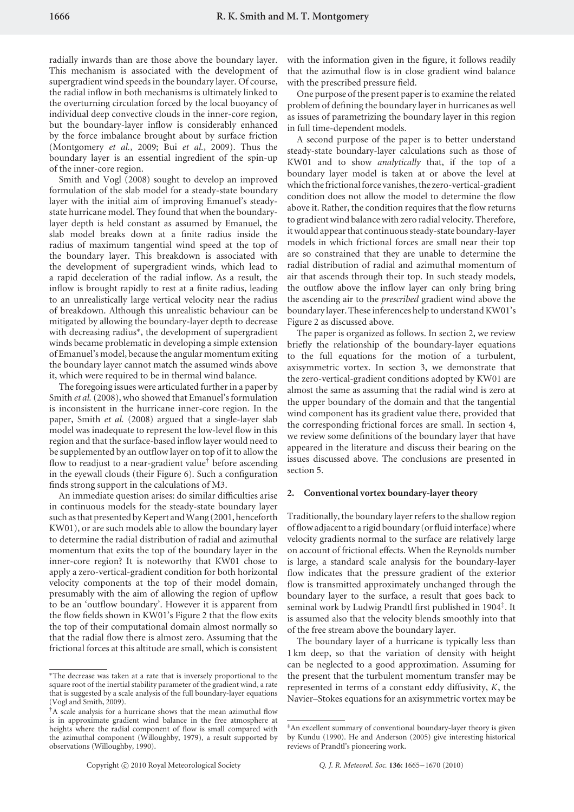radially inwards than are those above the boundary layer. This mechanism is associated with the development of supergradient wind speeds in the boundary layer. Of course, the radial inflow in both mechanisms is ultimately linked to the overturning circulation forced by the local buoyancy of individual deep convective clouds in the inner-core region, but the boundary-layer inflow is considerably enhanced by the force imbalance brought about by surface friction (Montgomery *et al.*, 2009; Bui *et al.*, 2009). Thus the boundary layer is an essential ingredient of the spin-up of the inner-core region.

Smith and Vogl (2008) sought to develop an improved formulation of the slab model for a steady-state boundary layer with the initial aim of improving Emanuel's steadystate hurricane model. They found that when the boundarylayer depth is held constant as assumed by Emanuel, the slab model breaks down at a finite radius inside the radius of maximum tangential wind speed at the top of the boundary layer. This breakdown is associated with the development of supergradient winds, which lead to a rapid deceleration of the radial inflow. As a result, the inflow is brought rapidly to rest at a finite radius, leading to an unrealistically large vertical velocity near the radius of breakdown. Although this unrealistic behaviour can be mitigated by allowing the boundary-layer depth to decrease with decreasing radius<sup>\*</sup>, the development of supergradient winds became problematic in developing a simple extension of Emanuel's model, because the angular momentum exiting the boundary layer cannot match the assumed winds above it, which were required to be in thermal wind balance.

The foregoing issues were articulated further in a paper by Smith *et al.* (2008), who showed that Emanuel's formulation is inconsistent in the hurricane inner-core region. In the paper, Smith *et al.* (2008) argued that a single-layer slab model was inadequate to represent the low-level flow in this region and that the surface-based inflow layer would need to be supplemented by an outflow layer on top of it to allow the flow to readjust to a near-gradient value† before ascending in the eyewall clouds (their Figure 6). Such a configuration finds strong support in the calculations of M3.

An immediate question arises: do similar difficulties arise in continuous models for the steady-state boundary layer such as that presented by Kepert and Wang (2001, henceforth KW01), or are such models able to allow the boundary layer to determine the radial distribution of radial and azimuthal momentum that exits the top of the boundary layer in the inner-core region? It is noteworthy that KW01 chose to apply a zero-vertical-gradient condition for both horizontal velocity components at the top of their model domain, presumably with the aim of allowing the region of upflow to be an 'outflow boundary'. However it is apparent from the flow fields shown in KW01's Figure 2 that the flow exits the top of their computational domain almost normally so that the radial flow there is almost zero. Assuming that the frictional forces at this altitude are small, which is consistent with the information given in the figure, it follows readily that the azimuthal flow is in close gradient wind balance with the prescribed pressure field.

One purpose of the present paper is to examine the related problem of defining the boundary layer in hurricanes as well as issues of parametrizing the boundary layer in this region in full time-dependent models.

A second purpose of the paper is to better understand steady-state boundary-layer calculations such as those of KW01 and to show *analytically* that, if the top of a boundary layer model is taken at or above the level at which the frictional force vanishes, the zero-vertical-gradient condition does not allow the model to determine the flow above it. Rather, the condition requires that the flow returns to gradient wind balance with zero radial velocity. Therefore, it would appear that continuous steady-state boundary-layer models in which frictional forces are small near their top are so constrained that they are unable to determine the radial distribution of radial and azimuthal momentum of air that ascends through their top. In such steady models, the outflow above the inflow layer can only bring bring the ascending air to the *prescribed* gradient wind above the boundary layer. These inferences help to understand KW01's Figure 2 as discussed above.

The paper is organized as follows. In section 2, we review briefly the relationship of the boundary-layer equations to the full equations for the motion of a turbulent, axisymmetric vortex. In section 3, we demonstrate that the zero-vertical-gradient conditions adopted by KW01 are almost the same as assuming that the radial wind is zero at the upper boundary of the domain and that the tangential wind component has its gradient value there, provided that the corresponding frictional forces are small. In section 4, we review some definitions of the boundary layer that have appeared in the literature and discuss their bearing on the issues discussed above. The conclusions are presented in section 5.

#### **2. Conventional vortex boundary-layer theory**

Traditionally, the boundary layer refers to the shallow region of flow adjacent to a rigid boundary (or fluid interface)where velocity gradients normal to the surface are relatively large on account of frictional effects. When the Reynolds number is large, a standard scale analysis for the boundary-layer flow indicates that the pressure gradient of the exterior flow is transmitted approximately unchanged through the boundary layer to the surface, a result that goes back to seminal work by Ludwig Prandtl first published in 1904<sup>‡</sup>. It is assumed also that the velocity blends smoothly into that of the free stream above the boundary layer.

The boundary layer of a hurricane is typically less than 1 km deep, so that the variation of density with height can be neglected to a good approximation. Assuming for the present that the turbulent momentum transfer may be represented in terms of a constant eddy diffusivity, *K*, the Navier–Stokes equations for an axisymmetric vortex may be

<sup>∗</sup>The decrease was taken at a rate that is inversely proportional to the square root of the inertial stability parameter of the gradient wind, a rate that is suggested by a scale analysis of the full boundary-layer equations (Vogl and Smith, 2009).

<sup>†</sup>A scale analysis for a hurricane shows that the mean azimuthal flow is in approximate gradient wind balance in the free atmosphere at heights where the radial component of flow is small compared with the azimuthal component (Willoughby, 1979), a result supported by observations (Willoughby, 1990).

<sup>‡</sup>An excellent summary of conventional boundary-layer theory is given by Kundu (1990). He and Anderson (2005) give interesting historical reviews of Prandtl's pioneering work.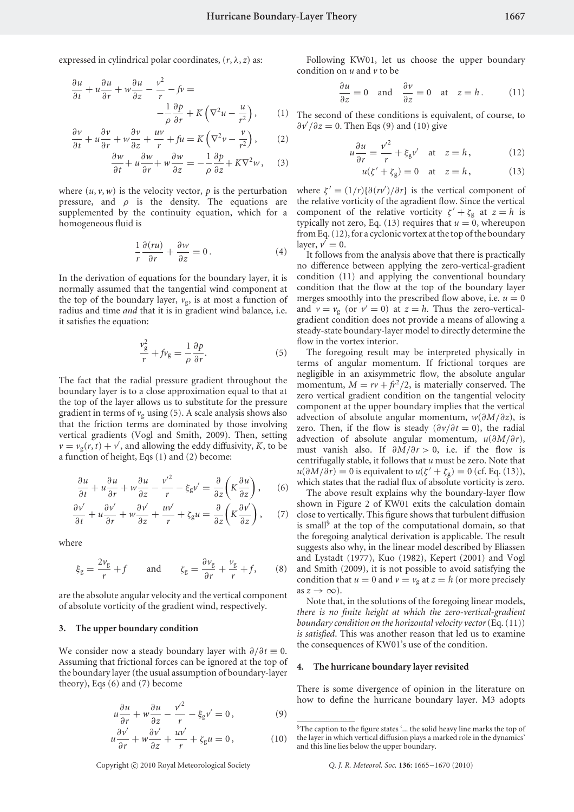expressed in cylindrical polar coordinates,  $(r, \lambda, z)$  as:

$$
\frac{\partial u}{\partial t} + u \frac{\partial u}{\partial r} + w \frac{\partial u}{\partial z} - \frac{v^2}{r} - fv =
$$
  

$$
-\frac{1}{\rho} \frac{\partial p}{\partial r} + K \left( \nabla^2 u - \frac{u}{r^2} \right),
$$

$$
\frac{\partial v}{\partial t} + u \frac{\partial v}{\partial r} + w \frac{\partial v}{\partial z} + \frac{uv}{r} + fu = K \left( \nabla^2 v - \frac{v}{r^2} \right), \qquad (2)
$$

$$
\frac{\partial w}{\partial t} + u \frac{\partial w}{\partial r} + w \frac{\partial w}{\partial z} = -\frac{1}{\rho} \frac{\partial p}{\partial z} + K \nabla^2 w, \quad (3)
$$

where  $(u, v, w)$  is the velocity vector,  $p$  is the perturbation pressure, and *ρ* is the density. The equations are supplemented by the continuity equation, which for a homogeneous fluid is

$$
\frac{1}{r}\frac{\partial(ru)}{\partial r} + \frac{\partial w}{\partial z} = 0.
$$
 (4)

In the derivation of equations for the boundary layer, it is normally assumed that the tangential wind component at the top of the boundary layer,  $v_{\rm g}$ , is at most a function of radius and time *and* that it is in gradient wind balance, i.e. it satisfies the equation:

$$
\frac{v_g^2}{r} + f v_g = \frac{1}{\rho} \frac{\partial p}{\partial r}.
$$
\n(5)

The fact that the radial pressure gradient throughout the boundary layer is to a close approximation equal to that at the top of the layer allows us to substitute for the pressure gradient in terms of  $v_{\rm g}$  using (5). A scale analysis shows also that the friction terms are dominated by those involving vertical gradients (Vogl and Smith, 2009). Then, setting  $v = v_{\rm g}(r, t) + v'$ , and allowing the eddy diffusivity, *K*, to be a function of height, Eqs (1) and (2) become:

$$
\frac{\partial u}{\partial t} + u \frac{\partial u}{\partial r} + w \frac{\partial u}{\partial z} - \frac{v'^2}{r} - \xi_g v' = \frac{\partial}{\partial z} \left( K \frac{\partial u}{\partial z} \right), \quad (6)
$$

$$
\frac{\partial v'}{\partial t} + u \frac{\partial v'}{\partial r} + w \frac{\partial v'}{\partial z} + \frac{uv'}{r} + \zeta_{\rm g} u = \frac{\partial}{\partial z} \left( K \frac{\partial v'}{\partial z} \right), \quad (7)
$$

where

$$
\xi_{\text{g}} = \frac{2v_{\text{g}}}{r} + f
$$
 and  $\zeta_{\text{g}} = \frac{\partial v_{\text{g}}}{\partial r} + \frac{v_{\text{g}}}{r} + f,$  (8)

are the absolute angular velocity and the vertical component of absolute vorticity of the gradient wind, respectively.

#### **3. The upper boundary condition**

We consider now a steady boundary layer with *∂/∂t* ≡ 0. Assuming that frictional forces can be ignored at the top of the boundary layer (the usual assumption of boundary-layer theory), Eqs (6) and (7) become

$$
u\frac{\partial u}{\partial r} + w\frac{\partial u}{\partial z} - \frac{{v'}^2}{r} - \xi_{g}v' = 0, \qquad (9)
$$

$$
u\frac{\partial v'}{\partial r} + w\frac{\partial v'}{\partial z} + \frac{uv'}{r} + \zeta_{g} u = 0, \qquad (10)
$$

Copyright (C) 2010 Royal Meteorological Society *Q. J. R. Meteorol. Soc.* 136: 1665–1670 (2010)

Following KW01, let us choose the upper boundary condition on *u* and *v* to be

$$
\frac{\partial u}{\partial z} = 0 \quad \text{and} \quad \frac{\partial v}{\partial z} = 0 \quad \text{at} \quad z = h. \tag{11}
$$

, (1) The second of these conditions is equivalent, of course, to *∂v /∂z* = 0. Then Eqs (9) and (10) give

$$
u\frac{\partial u}{\partial r} = \frac{v^2}{r} + \xi_g v' \quad \text{at} \quad z = h,
$$
 (12)

$$
u(\zeta' + \zeta_g) = 0 \quad \text{at} \quad z = h, \tag{13}
$$

where  $\zeta' = (1/r)\{\partial (rv')}/\partial r\}$  is the vertical component of the relative vorticity of the agradient flow. Since the vertical component of the relative vorticity  $\zeta' + \zeta_g$  at  $z = h$  is typically not zero, Eq. (13) requires that  $u = 0$ , whereupon from Eq. (12), for a cyclonic vortex at the top of the boundary layer,  $v' = 0$ .

It follows from the analysis above that there is practically no difference between applying the zero-vertical-gradient condition (11) and applying the conventional boundary condition that the flow at the top of the boundary layer merges smoothly into the prescribed flow above, i.e.  $u = 0$ and  $v = v<sub>g</sub>$  (or  $v' = 0$ ) at  $z = h$ . Thus the zero-verticalgradient condition does not provide a means of allowing a steady-state boundary-layer model to directly determine the flow in the vortex interior.

The foregoing result may be interpreted physically in terms of angular momentum. If frictional torques are negligible in an axisymmetric flow, the absolute angular momentum,  $M = rv + fr^2/2$ , is materially conserved. The zero vertical gradient condition on the tangential velocity component at the upper boundary implies that the vertical advection of absolute angular momentum, *w*(*∂M/∂z*), is zero. Then, if the flow is steady  $(\partial \nu/\partial t = 0)$ , the radial advection of absolute angular momentum, *u*(*∂M/∂r*), must vanish also. If *∂M/∂r >* 0, i.e. if the flow is centrifugally stable, it follows that *u* must be zero. Note that  $u(\partial M/\partial r) = 0$  is equivalent to  $u(\zeta' + \zeta_g) = 0$  (cf. Eq. (13)), which states that the radial flux of absolute vorticity is zero.

The above result explains why the boundary-layer flow shown in Figure 2 of KW01 exits the calculation domain close to vertically. This figure shows that turbulent diffusion is small $\frac{1}{2}$  at the top of the computational domain, so that the foregoing analytical derivation is applicable. The result suggests also why, in the linear model described by Eliassen and Lystadt (1977), Kuo (1982), Kepert (2001) and Vogl and Smith (2009), it is not possible to avoid satisfying the condition that  $u = 0$  and  $v = v<sub>g</sub>$  at  $z = h$  (or more precisely as  $z \to \infty$ ).

Note that, in the solutions of the foregoing linear models, *there is no finite height at which the zero-vertical-gradient boundary condition on the horizontal velocity vector*(Eq. (11)) *is satisfied*. This was another reason that led us to examine the consequences of KW01's use of the condition.

#### **4. The hurricane boundary layer revisited**

There is some divergence of opinion in the literature on how to define the hurricane boundary layer. M3 adopts

<sup>§</sup>The caption to the figure states '... the solid heavy line marks the top of the layer in which vertical diffusion plays a marked role in the dynamics' and this line lies below the upper boundary.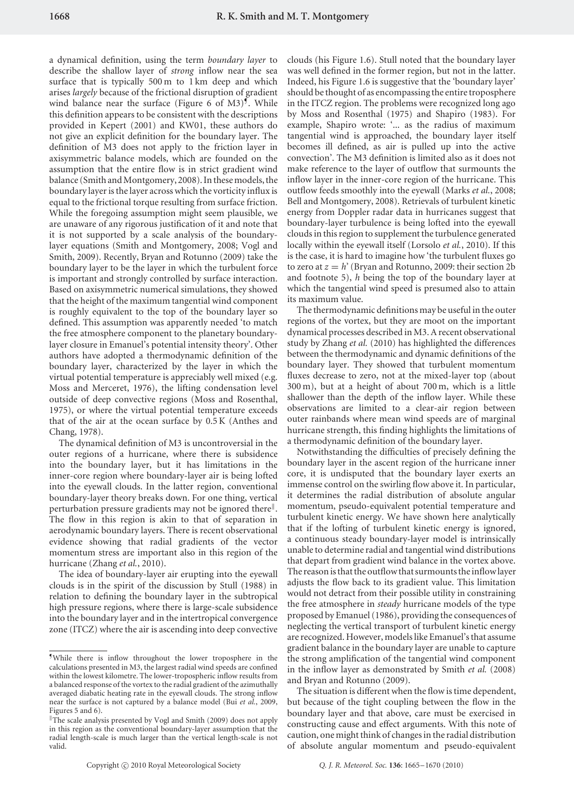a dynamical definition, using the term *boundary layer* to describe the shallow layer of *strong* inflow near the sea surface that is typically 500 m to 1 km deep and which arises *largely* because of the frictional disruption of gradient wind balance near the surface (Figure 6 of M3)<sup>9</sup>. While this definition appears to be consistent with the descriptions provided in Kepert (2001) and KW01, these authors do not give an explicit definition for the boundary layer. The definition of M3 does not apply to the friction layer in axisymmetric balance models, which are founded on the assumption that the entire flow is in strict gradient wind balance (Smith and Montgomery, 2008). In these models, the boundary layer is the layer across which the vorticity influx is equal to the frictional torque resulting from surface friction. While the foregoing assumption might seem plausible, we are unaware of any rigorous justification of it and note that it is not supported by a scale analysis of the boundarylayer equations (Smith and Montgomery, 2008; Vogl and Smith, 2009). Recently, Bryan and Rotunno (2009) take the boundary layer to be the layer in which the turbulent force is important and strongly controlled by surface interaction. Based on axisymmetric numerical simulations, they showed that the height of the maximum tangential wind component is roughly equivalent to the top of the boundary layer so defined. This assumption was apparently needed 'to match the free atmosphere component to the planetary boundarylayer closure in Emanuel's potential intensity theory'. Other authors have adopted a thermodynamic definition of the boundary layer, characterized by the layer in which the virtual potential temperature is appreciably well mixed (e.g. Moss and Merceret, 1976), the lifting condensation level outside of deep convective regions (Moss and Rosenthal, 1975), or where the virtual potential temperature exceeds that of the air at the ocean surface by 0.5 K (Anthes and Chang, 1978).

The dynamical definition of M3 is uncontroversial in the outer regions of a hurricane, where there is subsidence into the boundary layer, but it has limitations in the inner-core region where boundary-layer air is being lofted into the eyewall clouds. In the latter region, conventional boundary-layer theory breaks down. For one thing, vertical perturbation pressure gradients may not be ignored there<sup> $\parallel$ </sup>. The flow in this region is akin to that of separation in aerodynamic boundary layers. There is recent observational evidence showing that radial gradients of the vector momentum stress are important also in this region of the hurricane (Zhang *et al.*, 2010).

The idea of boundary-layer air erupting into the eyewall clouds is in the spirit of the discussion by Stull (1988) in relation to defining the boundary layer in the subtropical high pressure regions, where there is large-scale subsidence into the boundary layer and in the intertropical convergence zone (ITCZ) where the air is ascending into deep convective

clouds (his Figure 1.6). Stull noted that the boundary layer was well defined in the former region, but not in the latter. Indeed, his Figure 1.6 is suggestive that the 'boundary layer' should be thought of as encompassing the entire troposphere in the ITCZ region. The problems were recognized long ago by Moss and Rosenthal (1975) and Shapiro (1983). For example, Shapiro wrote: '... as the radius of maximum tangential wind is approached, the boundary layer itself becomes ill defined, as air is pulled up into the active convection'. The M3 definition is limited also as it does not make reference to the layer of outflow that surmounts the inflow layer in the inner-core region of the hurricane. This outflow feeds smoothly into the eyewall (Marks *et al.*, 2008; Bell and Montgomery, 2008). Retrievals of turbulent kinetic energy from Doppler radar data in hurricanes suggest that boundary-layer turbulence is being lofted into the eyewall clouds in this region to supplement the turbulence generated locally within the eyewall itself (Lorsolo *et al.*, 2010). If this is the case, it is hard to imagine how 'the turbulent fluxes go to zero at  $z = h'$  (Bryan and Rotunno, 2009: their section 2b) and footnote 5), *h* being the top of the boundary layer at which the tangential wind speed is presumed also to attain its maximum value.

The thermodynamic definitions may be useful in the outer regions of the vortex, but they are moot on the important dynamical processes described in M3. A recent observational study by Zhang *et al.* (2010) has highlighted the differences between the thermodynamic and dynamic definitions of the boundary layer. They showed that turbulent momentum fluxes decrease to zero, not at the mixed-layer top (about 300 m), but at a height of about 700 m, which is a little shallower than the depth of the inflow layer. While these observations are limited to a clear-air region between outer rainbands where mean wind speeds are of marginal hurricane strength, this finding highlights the limitations of a thermodynamic definition of the boundary layer.

Notwithstanding the difficulties of precisely defining the boundary layer in the ascent region of the hurricane inner core, it is undisputed that the boundary layer exerts an immense control on the swirling flow above it. In particular, it determines the radial distribution of absolute angular momentum, pseudo-equivalent potential temperature and turbulent kinetic energy. We have shown here analytically that if the lofting of turbulent kinetic energy is ignored, a continuous steady boundary-layer model is intrinsically unable to determine radial and tangential wind distributions that depart from gradient wind balance in the vortex above. The reason is that the outflow that surmounts the inflow layer adjusts the flow back to its gradient value. This limitation would not detract from their possible utility in constraining the free atmosphere in *steady* hurricane models of the type proposed by Emanuel (1986), providing the consequences of neglecting the vertical transport of turbulent kinetic energy are recognized. However, models like Emanuel's that assume gradient balance in the boundary layer are unable to capture the strong amplification of the tangential wind component in the inflow layer as demonstrated by Smith *et al.* (2008) and Bryan and Rotunno (2009).

The situation is different when the flow is time dependent, but because of the tight coupling between the flow in the boundary layer and that above, care must be exercised in constructing cause and effect arguments. With this note of caution, one might think of changes in the radial distribution of absolute angular momentum and pseudo-equivalent

<sup>¶</sup>While there is inflow throughout the lower troposphere in the calculations presented in M3, the largest radial wind speeds are confined within the lowest kilometre. The lower-tropospheric inflow results from a balanced response of the vortex to the radial gradient of the azimuthally averaged diabatic heating rate in the eyewall clouds. The strong inflow near the surface is not captured by a balance model (Bui *et al.*, 2009, Figures 5 and 6).

The scale analysis presented by Vogl and Smith (2009) does not apply in this region as the conventional boundary-layer assumption that the radial length-scale is much larger than the vertical length-scale is not valid.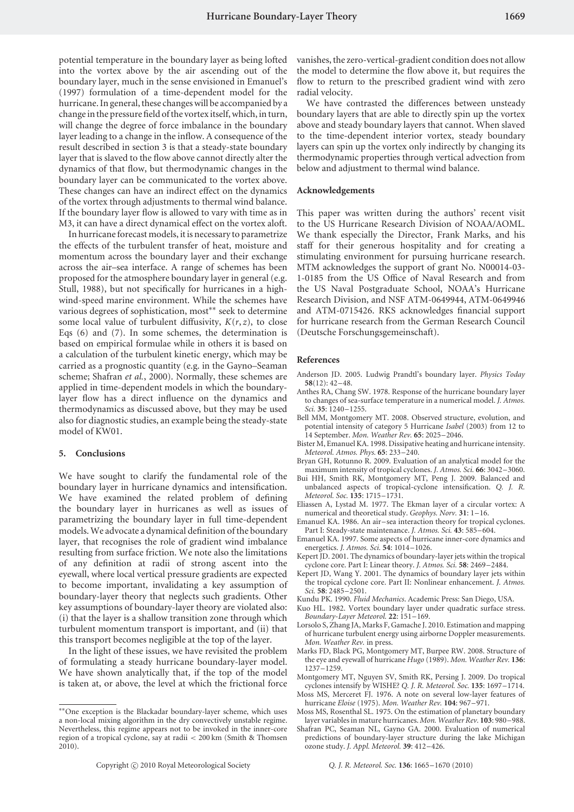potential temperature in the boundary layer as being lofted into the vortex above by the air ascending out of the boundary layer, much in the sense envisioned in Emanuel's (1997) formulation of a time-dependent model for the hurricane. In general, these changes will be accompanied by a change in the pressure field of the vortex itself, which, in turn, will change the degree of force imbalance in the boundary layer leading to a change in the inflow. A consequence of the result described in section 3 is that a steady-state boundary layer that is slaved to the flow above cannot directly alter the dynamics of that flow, but thermodynamic changes in the boundary layer can be communicated to the vortex above. These changes can have an indirect effect on the dynamics of the vortex through adjustments to thermal wind balance. If the boundary layer flow is allowed to vary with time as in M3, it can have a direct dynamical effect on the vortex aloft.

In hurricane forecast models, it is necessary to parametrize the effects of the turbulent transfer of heat, moisture and momentum across the boundary layer and their exchange across the air–sea interface. A range of schemes has been proposed for the atmosphere boundary layer in general (e.g. Stull, 1988), but not specifically for hurricanes in a highwind-speed marine environment. While the schemes have various degrees of sophistication, most∗∗ seek to determine some local value of turbulent diffusivity,  $K(r, z)$ , to close Eqs (6) and (7). In some schemes, the determination is based on empirical formulae while in others it is based on a calculation of the turbulent kinetic energy, which may be carried as a prognostic quantity (e.g. in the Gayno–Seaman scheme; Shafran *et al.*, 2000). Normally, these schemes are applied in time-dependent models in which the boundarylayer flow has a direct influence on the dynamics and thermodynamics as discussed above, but they may be used also for diagnostic studies, an example being the steady-state model of KW01.

#### **5. Conclusions**

We have sought to clarify the fundamental role of the boundary layer in hurricane dynamics and intensification. We have examined the related problem of defining the boundary layer in hurricanes as well as issues of parametrizing the boundary layer in full time-dependent models.We advocate a dynamical definition of the boundary layer, that recognises the role of gradient wind imbalance resulting from surface friction. We note also the limitations of any definition at radii of strong ascent into the eyewall, where local vertical pressure gradients are expected to become important, invalidating a key assumption of boundary-layer theory that neglects such gradients. Other key assumptions of boundary-layer theory are violated also: (i) that the layer is a shallow transition zone through which turbulent momentum transport is important, and (ii) that this transport becomes negligible at the top of the layer.

In the light of these issues, we have revisited the problem of formulating a steady hurricane boundary-layer model. We have shown analytically that, if the top of the model is taken at, or above, the level at which the frictional force

vanishes, the zero-vertical-gradient condition does not allow the model to determine the flow above it, but requires the flow to return to the prescribed gradient wind with zero radial velocity.

We have contrasted the differences between unsteady boundary layers that are able to directly spin up the vortex above and steady boundary layers that cannot. When slaved to the time-dependent interior vortex, steady boundary layers can spin up the vortex only indirectly by changing its thermodynamic properties through vertical advection from below and adjustment to thermal wind balance.

#### **Acknowledgements**

This paper was written during the authors' recent visit to the US Hurricane Research Division of NOAA/AOML. We thank especially the Director, Frank Marks, and his staff for their generous hospitality and for creating a stimulating environment for pursuing hurricane research. MTM acknowledges the support of grant No. N00014-03- 1-0185 from the US Office of Naval Research and from the US Naval Postgraduate School, NOAA's Hurricane Research Division, and NSF ATM-0649944, ATM-0649946 and ATM-0715426. RKS acknowledges financial support for hurricane research from the German Research Council (Deutsche Forschungsgemeinschaft).

#### **References**

- Anderson JD. 2005. Ludwig Prandtl's boundary layer. *Physics Today* **58**(12): 42–48.
- Anthes RA, Chang SW. 1978. Response of the hurricane boundary layer to changes of sea-surface temperature in a numerical model. *J. Atmos. Sci.* **35**: 1240–1255.
- Bell MM, Montgomery MT. 2008. Observed structure, evolution, and potential intensity of category 5 Hurricane *Isabel* (2003) from 12 to 14 September. *Mon. Weather Rev.* **65**: 2025–2046.
- Bister M, Emanuel KA. 1998. Dissipative heating and hurricane intensity. *Meteorol. Atmos. Phys.* **65**: 233–240.
- Brvan GH, Rotunno R. 2009. Evaluation of an analytical model for the maximum intensity of tropical cyclones. *J. Atmos. Sci.* **66**: 3042–3060.
- Bui HH, Smith RK, Montgomery MT, Peng J. 2009. Balanced and unbalanced aspects of tropical-cyclone intensification. *Q. J. R. Meteorol. Soc.* **135**: 1715–1731.
- Eliassen A, Lystad M. 1977. The Ekman layer of a circular vortex: A numerical and theoretical study. *Geophys. Norv.* **31**: 1–16.
- Emanuel KA. 1986. An air–sea interaction theory for tropical cyclones. Part I: Steady-state maintenance. *J. Atmos. Sci.* **43**: 585–604.
- Emanuel KA. 1997. Some aspects of hurricane inner-core dynamics and energetics. *J. Atmos. Sci.* **54**: 1014–1026.
- Kepert JD. 2001. The dynamics of boundary-layer jets within the tropical cyclone core. Part I: Linear theory. *J. Atmos. Sci.* **58**: 2469–2484.
- Kepert JD, Wang Y. 2001. The dynamics of boundary layer jets within the tropical cyclone core. Part II: Nonlinear enhancement. *J. Atmos. Sci.* **58**: 2485–2501.

Kundu PK. 1990. *Fluid Mechanics*. Academic Press: San Diego, USA.

- Kuo HL. 1982. Vortex boundary layer under quadratic surface stress. *Boundary-Layer Meteorol.* **22**: 151–169.
- Lorsolo S, Zhang JA, Marks F, Gamache J. 2010. Estimation and mapping of hurricane turbulent energy using airborne Doppler measurements. *Mon. Weather Rev.* in press.
- Marks FD, Black PG, Montgomery MT, Burpee RW. 2008. Structure of the eye and eyewall of hurricane *Hugo* (1989). *Mon. Weather Rev.* **136**: 1237–1259.
- Montgomery MT, Nguyen SV, Smith RK, Persing J. 2009. Do tropical cyclones intensify by WISHE? *Q. J. R. Meteorol. Soc.* **135**: 1697–1714.
- Moss MS, Merceret FJ. 1976. A note on several low-layer features of hurricane *Eloise* (1975). *Mon. Weather Rev.* **104**: 967–971.

<sup>∗∗</sup>One exception is the Blackadar boundary-layer scheme, which uses a non-local mixing algorithm in the dry convectively unstable regime. Nevertheless, this regime appears not to be invoked in the inner-core region of a tropical cyclone, say at radii *<* 200 km (Smith & Thomsen 2010).

Moss MS, Rosenthal SL. 1975. On the estimation of planetary boundary layer variables in mature hurricanes. *Mon. Weather Rev.* **103**: 980–988.

Shafran PC, Seaman NL, Gayno GA. 2000. Evaluation of numerical predictions of boundary-layer structure during the lake Michigan ozone study. *J. Appl. Meteorol.* **39**: 412–426.